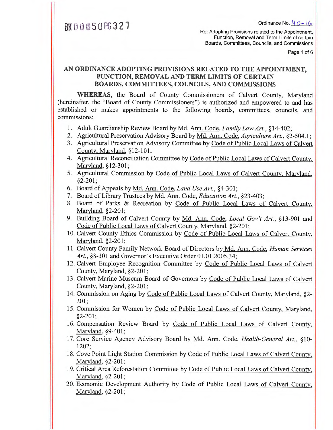BK  $\beta$  0  $\beta$  5 0 PG 3 2 7

Re: Adopting Provisions related to the Appointment, Function, Removal and Term Limits of certain Boards, Committees, Councils, and Commissions

Page 1 of 6

### **AN ORDINANCE ADOPTING PROVISIONS RELATED TO THE APPOINTMENT, FUNCTION, REMOVAL AND TERM LIMITS OF CERTAIN BOARDS, COMMITTEES, COUNCILS, AND COMMISSIONS**

**WHEREAS,** the Board of County Commissioners of Calvert County, Maryland (hereinafter, the "Board of County Commissioners") is authorized and empowered to and has established or makes appointments to the following boards, committees, councils, and commissions:

- 1. Adult Guardianship Review Board by Md. Ann. Code, *Family Law Art., §14-402;*
- 2. Agricultural Preservation Advisory Board by Md. Ann. Code, *Agriculture Art.,* §2-504.1;
- 3. Agricultural Preservation Advisory Committee by Code of Public Local Laws of Calvert County, Maryland, §12- **101;**
- 4. Agricultural Reconciliation Committee by Code of Public Local Laws of Calvert County, Maryland, §12-301;
- 5. Agricultural Commission by Code of Public Local Laws of Calvert County, Maryland, §2-201;
- 6. Board of Appeals by Md. Ann. Code, *Land Use Art.,* §4-301;
- 7. Board of Library Trustees by Md. Ann. Code, *Education Art.,* §23-403;
- 8. Board of Parks & Recreation by Code of Public Local Laws of Calvert County, Maryland, §2-201;
- 9. Building Board of Calvert County by Md. Ann. Code, *Local Gov't Art., §13-901* and Code of Public Local Laws of Calvert County, Maryland, §2-201;
- 10. Calvert County Ethics Commission by Code of Public Local Laws of Calvert County, Maryland, §2-201;
- 11. Calvert County Family Network Board of Directors by Md. Ann. Code, *Human Services Art.,* §8-301 and Governor's Executive Order 01.01.2005.34;
- 12. Calvert Employee Recognition Committee by Code of Public Local Laws of Calvert County, Maryland, §2-201;
- 13. Calvert Marine Museum Board of Governors by Code of Public Local Laws of Calvert County, Maryland, §2-201;
- 14. Commission on Aging by Code of Public Local Laws of Calvert County, Maryland, §2- 201,
- 15. Commission for Women by Code of Public Local Laws of Calvert County, Maryland, §2-201;
- 16. Compensation Review Board by Code of Public Local Laws of Calvert County, Maryland, §9-401;
- 17. Core Service Agency Advisory Board by Md. Ann. Code, *Health-General Art.,* §10- 1202;
- 18. Cove Point Light Station Commission by Code of Public Local Laws of Calvert County, Maryland, §2-201;
- 19. Critical Area Reforestation Committee by Code of Public Local Laws of Calvert County, Maryland, §2-201;
- 20. Economic Development Authority by Code of Public Local Laws of Calvert County, Maryland, §2-201;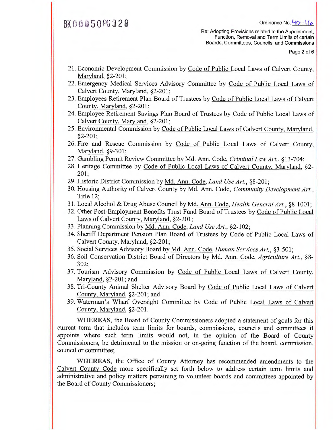### $BK 0 0 0 5 0 0 3 2 8$  Ordinance No.  $40 - 16$

Re: Adopting Provisions related to the Appointment, Function, Removal and Term Limits of certain Boards, Committees, Councils, and Commissions

Page 2 of 6

- 21. Economic Development Commission by Code of Public Local Laws of Calvert County, Maryland, §2-201;
- 22. Emergency Medical Services Advisory Committee by Code of Public Local Laws of Calvert County, Maryland, §2-201;
- 23. Employees Retirement Plan Board of Trustees by Code of Public Local Laws of Calvert County, Maryland, §2-201;
- 24. Employee Retirement Savings Plan Board of Trustees by Code of Public Local Laws of Calvert County, Maryland, §2-201;
- 25. Environmental Commission by Code of Public Local Laws of Calvert County, Maryland, §2-201;
- 26. Fire and Rescue Commission by Code of Public Local Laws of Calvert County, Maryland, §9-301;
- 27. Gambling Permit Review Committee by Md. Ann. Code, *Criminal Law Art., §13-704;*
- 28. Heritage Committee by Code of Public Local Laws of Calvert County, Maryland, §2- 201;
- 29. Historic District Commission by Md. Ann. Code, *Land Use Art.,* §8-201;
- 30. Housing Authority of Calvert County by Md. Ann. Code, *Community Development Art.,*  Title 12;
- 31. Local Alcohol & Drug Abuse Council by Md. Ann. Code, *Health-General Art., §8-1001;*
- 32. Other Post-Employment Benefits Trust Fund Board of Trustees by Code of Public Local Laws of Calvert County, Maryland, §2-201;
- 33. Planning Commission by Md. Ann. Code, *Land Use Art.,* §2-102;
- 34. Sheriff Department Pension Plan Board of Trustees by Code of Public Local Laws of Calvert County, Maryland, §2-201;
- 35. Social Services Advisory Board by Md. Ann. Code, *Human Services Art.,* §3-501;
- 36. Soil Conservation District Board of Directors by Md. Ann. Code, *Agriculture Art.,* §8- 302;
- 37. Tourism Advisory Commission by Code of Public Local Laws of Calvert County., Maryland, §2-201; and
- 38. Tri-County Animal Shelter Advisory Board by Code of Public Local Laws of Calvert County, Maryland, §2-201; and
- 39. Waterman's Wharf Oversight Committee by Code of Public Local Laws of Calvert County, Maryland, §2-201.

WHEREAS, the Board of County Commissioners adopted a statement of goals for this current term that includes term limits for boards, commissions, councils and committees it appoints where such term limits would not, in the opinion of the Board of County Commissioners, be detrimental to the mission or on-going function of the board, commission, council or committee;

WHEREAS, the Office of County Attorney has recommended amendments to the Calvert County Code more specifically set forth below to address certain term limits and administrative and policy matters pertaining to volunteer boards and committees appointed by the Board of County Commissioners;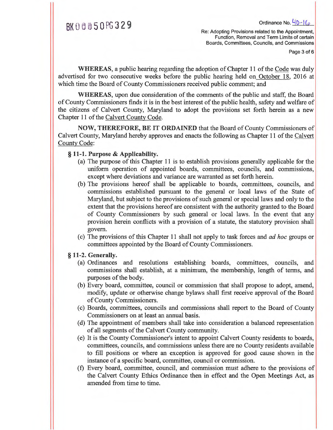Re: Adopting Provisions related to the Appointment, Function, Removal and Term Limits of certain Boards, Committees, Councils, and Commissions

Page 3 of 6

**WHEREAS,** a public hearing regarding the adoption of Chapter 11 of the Codewas duly advertised for two consecutive weeks before the public hearing held on October 18, 2016 at which time the Board of County Commissioners received public comment; and

**WHEREAS,** upon due consideration of the comments of the public and staff, the Board of County Commissioners finds it is in the best interest of the public health, safety and welfare of **the** citizens of Calvert County, Maryland to adopt the provisions set forth herein as a new Chapter 11 of the Calvert County Code.

**NOW, THEREFORE, BE IT ORDAINED** that the Board of County Commissioners of Calvert County, Maryland hereby approves and enacts the following as Chapter 11 of the Calvert County Code:

### § **11-1. Purpose & Applicability.**

- (a) The purpose of this Chapter 11 is to establish provisions generally applicable for the uniform operation of appointed boards, committees, councils, and commissions, except where deviations and variance are warranted as set forth herein.
- (b) The provisions hereof shall be applicable to boards, committees, councils, and commissions established pursuant to the general or local laws of the State of Maryland, but subject to the provisions of such general or special laws and only to the extent that the provisions hereof are consistent with the authority granted to the Board of County Commissioners by such general or local laws. In the event that any provision herein conflicts with a provision of a statute, the statutory provision shall govern.
- (c) The provisions of this Chapter 11 shall not apply to task forces and *ad hoc* groups or committees appointed by the Board of County Commissioners.

### **§ 11-2. Generally.**

- (a) Ordinances and resolutions establishing boards, committees, councils, and commissions shall establish, at a minimum, the membership, length of terms, and purposes of the body.
- (b) Every board, committee, council or commission that shall propose to adopt, amend, modify, update or otherwise change bylaws shall first receive approval of the Board of County Commissioners.
- (c) Boards, committees, councils and commissions shall report to the Board of County Commissioners on at least an annual basis.
- (d) The appointment of members shall take into consideration a balanced representation of all segments of the Calvert County community.
- (e) It is the County Commissioner's intent to appoint Calvert County residents to boards, committees, councils, and commissions unless there are no County residents available to fill positions or where an exception is approved for good cause shown in the instance of a specific board, committee, council or commission.
- (f) Every board, committee, council, and commission must adhere to the provisions of the Calvert County Ethics Ordinance then in effect and the Open Meetings Act, as amended from time to time.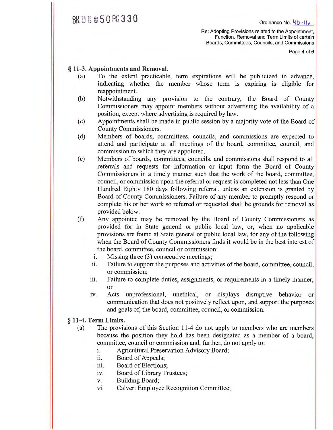# $BK000050P6330$  Ordinance No.  $40-16$

Re: Adopting Provisions related to the Appointment, Function, Removal and Term Limits of certain Boards, Committees, Councils, and Commissions

Page 4 of 6

### **§ 11-3. Appointments and Removal.**

- (a) To the extent practicable, term expirations will be publicized in advance, indicating whether the member whose term is expiring is eligible for reappointment.
- (b) Notwithstanding any provision to the contrary, the Board of County Commissioners may appoint members without advertising the availability of a position, except where advertising is required by law.
- (c) Appointments shall be made in public session by a majority vote of the Board of County Commissioners.
- (d) Members of boards, committees, councils, and commissions are expected to attend and participate at all meetings of the board, committee, council, and commission to which they are appointed.
- (e) Members of boards, committees, councils, and commissions shall respond to all referrals and requests for information or input form the Board of County Commissioners in a timely manner such that the work of the board, committee, council, or commission upon the referral or request is completed not less than One Hundred Eighty 180 days following referral, unless an extension is granted by Board of County Commissioners. Failure of any member to promptly respond or complete his or her work so referred or requested shall be grounds for removal as provided below.
- $(f)$ Any appointee may be removed by the Board of County Commissioners as provided for in State general or public local law, or, when no applicable provisions are found at State general or public local law, for any of the following when the Board of County Commissioners finds it would be in the best interest of the board, committee, council or commission:
	- i. Missing three (3) consecutive meetings;
	- ii. Failure to support the purposes and activities of the board, committee, council, or commission;
	- iii. Failure to complete duties, assignments, or requirements in a timely manner; or
	- iv. Acts unprofessional, unethical, or displays disruptive behavior or communication that does not positively reflect upon, and support the purposes and goals of, the board, committee, council, or commission.

#### **§ 11-4. Term Limits.**

- (a) The provisions of this Section 11-4 do not apply to members who are members because the position they hold has been designated as a member of a board, committee, council or commission and, further, do not apply to:
	- i. Agricultural Preservation Advisory Board;
	- ii. Board of Appeals;
	- iii. Board of Elections;
	- iv. Board of Library Trustees;
	- v. Building Board;
	- vi. Calvert Employee Recognition Committee;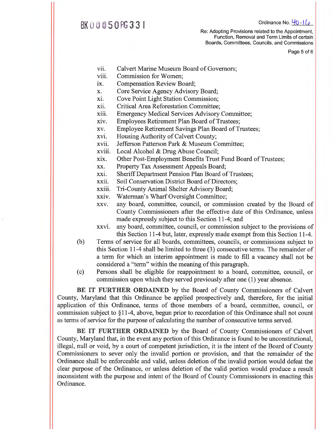## $BK$  0  $\emptyset$   $\emptyset$   $50$   $R$   $33$  |

Re: Adopting Provisions related to the Appointment, Function, Removal and Term Limits of certain Boards, Committees, Councils, and Commissions

Page 5 of 6

- vii. Calvert Marine Museum Board of Governors;
- viii. Commission for Women;
- ix. Compensation Review Board;
- x. Core Service Agency Advisory Board;
- xi. Cove Point Light Station Commission;
- xii. Critical Area Reforestation Committee;
- xiii. Emergency Medical Services Advisory Committee;
- xiv. Employees Retirement Plan Board of Trustees;
- xv. Employee Retirement Savings Plan Board of Trustees;
- xvi. Housing Authority of Calvert County;
- xvii. Jefferson Patterson Park & Museum Committee;
- xviii. Local Alcohol & Drug Abuse Council;
- xix. Other Post-Employment Benefits Trust Fund Board of Trustees;
- xx. Property Tax Assessment Appeals Board;
- xxi. Sheriff Department Pension Plan Board of Trustees;
- xxii. Soil Conservation District Board of Directors;
- xxiii. Tri-County Animal Shelter Advisory Board;
- xxiv. Waterman's Wharf Oversight Committee;
- xxv. any board, committee, council, or commission created by the Board of County Commissioners after the effective date of this Ordinance, unless made expressly subject to this Section 11-4; and
- xxvi. any board, committee, council, or commission subject to the provisions of this Section 11-4 but, later, expressly made exempt from this Section 11-4.
- (b) Terms of service for all boards, committees, councils, or commissions subject to this Section 11-4 shall be limited to three (3) consecutive terms. The remainder of a term for which an interim appointment is made to fill a vacancy shall not be considered a "term" within the meaning of this paragraph.
- (c) Persons shall be eligible for reappointment to a board, committee, council, or commission upon which they served previously after one (1) year absence.

**BE IT FURTHER ORDAINED** by the Board of County Commissioners of Calvert County, Maryland that this Ordinance be applied prospectively and, therefore, for the initial application of this Ordinance, terms of those members of a board, committee, council, or commission subject to §11-4, above, begun prior to recordation of this Ordinance shall not count as terms of service for the purpose of calculating the number of consecutive terms served.

**BE IT FURTHER ORDAINED** by the Board of County Commissioners of Calvert County, Maryland that, in the event any portion of this Ordinance is found to be unconstitutional, illegal, null or void, by a court of competent jurisdiction, it is the intent of the Board of County Commissioners to sever only the invalid portion or provision, and that the remainder of the Ordinance shall be enforceable and valid, unless deletion of the invalid portion would defeat the clear purpose of the Ordinance, or unless deletion of the valid portion would produce a result inconsistent with the purpose and intent of the Board of County Commissioners in enacting this Ordinance.